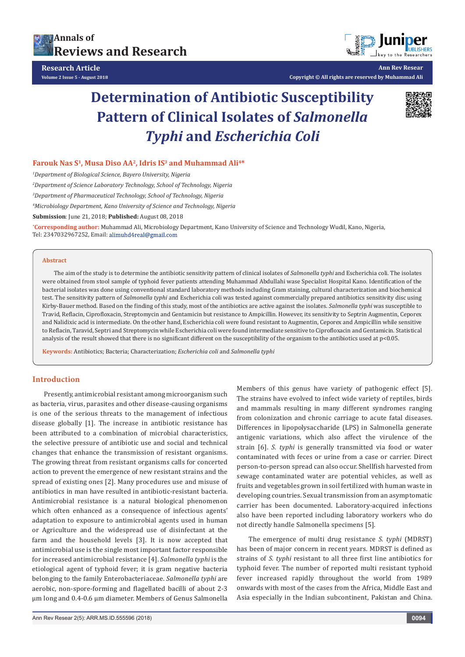



**Ann Rev Resear Copyright © All rights are reserved by Muhammad Ali**

# **Determination of Antibiotic Susceptibility Pattern of Clinical Isolates of** *Salmonella Typhi* **and** *Escherichia Coli*



# Farouk Nas S<sup>1</sup>, Musa Diso AA<sup>2</sup>, Idris IS<sup>3</sup> and Muhammad Ali<sup>4\*</sup>

*1 Department of Biological Science, Bayero University, Nigeria* 

*2 Department of Science Laboratory Technology, School of Technology, Nigeria* 

*3 Department of Pharmaceutical Technology, School of Technology, Nigeria*

*4 Microbiology Department, Kano University of Science and Technology, Nigeria*

**Submission**: June 21, 2018; **Published:** August 08, 2018

**\* Corresponding author:** Muhammad Ali, Microbiology Department, Kano University of Science and Technology Wudil, Kano, Nigeria, Tel: 2347032967252, Email: alimuhd4real@gmail.com

#### **Abstract**

The aim of the study is to determine the antibiotic sensitivity pattern of clinical isolates of *Salmonella typhi* and Escherichia coli. The isolates were obtained from stool sample of typhoid fever patients attending Muhammad Abdullahi wase Specialist Hospital Kano. Identification of the bacterial isolates was done using conventional standard laboratory methods including Gram staining, cultural characterization and biochemical test. The sensitivity pattern of *Salmonella typhi* and Escherichia coli was tested against commercially prepared antibiotics sensitivity disc using Kirby-Bauer method. Based on the finding of this study, most of the antibiotics are active against the isolates. *Salmonella typhi* was susceptible to Travid, Reflacin, Ciprofloxacin, Streptomycin and Gentamicin but resistance to Ampicillin. However, its sensitivity to Septrin Augmentin, Ceporex and Nalidixic acid is intermediate. On the other hand, Escherichia coli were found resistant to Augmentin, Ceporex and Ampicillin while sensitive to Reflacin, Taravid, Septri and Streptomycin while Escherichia coli were found intermediate sensitive to Ciprofloxacin and Gentamicin. Statistical analysis of the result showed that there is no significant different on the susceptibility of the organism to the antibiotics used at p<0.05.

**Keywords:** Antibiotics; Bacteria; Characterization; *Escherichia coli* and *Salmonella typhi* 

#### **Introduction**

Presently, antimicrobial resistant among microorganism such as bacteria, virus, parasites and other disease-causing organisms is one of the serious threats to the management of infectious disease globally [1]. The increase in antibiotic resistance has been attributed to a combination of microbial characteristics, the selective pressure of antibiotic use and social and technical changes that enhance the transmission of resistant organisms. The growing threat from resistant organisms calls for concerted action to prevent the emergence of new resistant strains and the spread of existing ones [2]. Many procedures use and misuse of antibiotics in man have resulted in antibiotic-resistant bacteria. Antimicrobial resistance is a natural biological phenomenon which often enhanced as a consequence of infectious agents' adaptation to exposure to antimicrobial agents used in human or Agriculture and the widespread use of disinfectant at the farm and the household levels [3]. It is now accepted that antimicrobial use is the single most important factor responsible for increased antimicrobial resistance [4]. *Salmonella typhi* is the etiological agent of typhoid fever; it is gram negative bacteria belonging to the family Enterobacteriaceae. *Salmonella typhi* are aerobic, non-spore-forming and flagellated bacilli of about 2-3 μm long and 0.4-0.6 μm diameter. Members of Genus Salmonella

Members of this genus have variety of pathogenic effect [5]. The strains have evolved to infect wide variety of reptiles, birds and mammals resulting in many different syndromes ranging from colonization and chronic carriage to acute fatal diseases. Differences in lipopolysaccharide (LPS) in Salmonella generate antigenic variations, which also affect the virulence of the strain [6]. *S. typhi* is generally transmitted via food or water contaminated with feces or urine from a case or carrier. Direct person-to-person spread can also occur. Shellfish harvested from sewage contaminated water are potential vehicles, as well as fruits and vegetables grown in soil fertilized with human waste in developing countries. Sexual transmission from an asymptomatic carrier has been documented. Laboratory-acquired infections also have been reported including laboratory workers who do not directly handle Salmonella specimens [5].

The emergence of multi drug resistance *S. typhi* (MDRST) has been of major concern in recent years. MDRST is defined as strains of *S. typhi* resistant to all three first line antibiotics for typhoid fever. The number of reported multi resistant typhoid fever increased rapidly throughout the world from 1989 onwards with most of the cases from the Africa, Middle East and Asia especially in the Indian subcontinent, Pakistan and China.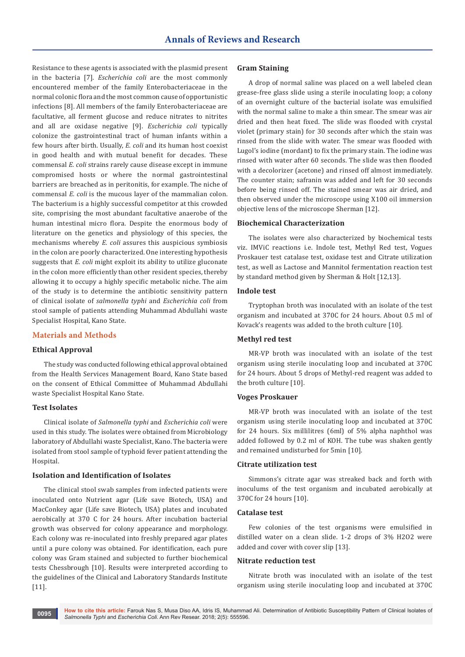Resistance to these agents is associated with the plasmid present in the bacteria [7]. *Escherichia coli* are the most commonly encountered member of the family Enterobacteriaceae in the normal colonic flora and the most common cause of opportunistic infections [8]. All members of the family Enterobacteriaceae are facultative, all ferment glucose and reduce nitrates to nitrites and all are oxidase negative [9]. *Escherichia coli* typically colonize the gastrointestinal tract of human infants within a few hours after birth. Usually, *E. coli* and its human host coexist in good health and with mutual benefit for decades. These commensal *E. coli* strains rarely cause disease except in immune compromised hosts or where the normal gastrointestinal barriers are breached as in peritonitis, for example. The niche of commensal *E. coli* is the mucous layer of the mammalian colon. The bacterium is a highly successful competitor at this crowded site, comprising the most abundant facultative anaerobe of the human intestinal micro flora. Despite the enormous body of literature on the genetics and physiology of this species, the mechanisms whereby *E. coli* assures this auspicious symbiosis in the colon are poorly characterized. One interesting hypothesis suggests that *E. coli* might exploit its ability to utilize gluconate in the colon more efficiently than other resident species, thereby allowing it to occupy a highly specific metabolic niche. The aim of the study is to determine the antibiotic sensitivity pattern of clinical isolate of *salmonella typhi* and *Escherichia coli* from stool sample of patients attending Muhammad Abdullahi waste Specialist Hospital, Kano State.

#### **Materials and Methods**

#### **Ethical Approval**

The study was conducted following ethical approval obtained from the Health Services Management Board, Kano State based on the consent of Ethical Committee of Muhammad Abdullahi waste Specialist Hospital Kano State.

#### **Test Isolates**

Clinical isolate of *Salmonella typhi* and *Escherichia coli* were used in this study. The isolates were obtained from Microbiology laboratory of Abdullahi waste Specialist, Kano. The bacteria were isolated from stool sample of typhoid fever patient attending the Hospital.

#### **Isolation and Identification of Isolates**

The clinical stool swab samples from infected patients were inoculated onto Nutrient agar (Life save Biotech, USA) and MacConkey agar (Life save Biotech, USA) plates and incubated aerobically at 370 C for 24 hours. After incubation bacterial growth was observed for colony appearance and morphology. Each colony was re-inoculated into freshly prepared agar plates until a pure colony was obtained. For identification, each pure colony was Gram stained and subjected to further biochemical tests Chessbrough [10]. Results were interpreted according to the guidelines of the Clinical and Laboratory Standards Institute [11].

#### **Gram Staining**

A drop of normal saline was placed on a well labeled clean grease-free glass slide using a sterile inoculating loop; a colony of an overnight culture of the bacterial isolate was emulsified with the normal saline to make a thin smear. The smear was air dried and then heat fixed. The slide was flooded with crystal violet (primary stain) for 30 seconds after which the stain was rinsed from the slide with water. The smear was flooded with Lugol's iodine (mordant) to fix the primary stain. The iodine was rinsed with water after 60 seconds. The slide was then flooded with a decolorizer (acetone) and rinsed off almost immediately. The counter stain; safranin was added and left for 30 seconds before being rinsed off. The stained smear was air dried, and then observed under the microscope using X100 oil immersion objective lens of the microscope Sherman [12].

#### **Biochemical Characterization**

The isolates were also characterized by biochemical tests viz. IMViC reactions i.e. Indole test, Methyl Red test, Vogues Proskauer test catalase test, oxidase test and Citrate utilization test, as well as Lactose and Mannitol fermentation reaction test by standard method given by Sherman & Holt [12,13].

#### **Indole test**

Tryptophan broth was inoculated with an isolate of the test organism and incubated at 370C for 24 hours. About 0.5 ml of Kovack's reagents was added to the broth culture [10].

#### **Methyl red test**

MR-VP broth was inoculated with an isolate of the test organism using sterile inoculating loop and incubated at 370C for 24 hours. About 5 drops of Methyl-red reagent was added to the broth culture [10].

### **Voges Proskauer**

MR-VP broth was inoculated with an isolate of the test organism using sterile inoculating loop and incubated at 370C for 24 hours. Six millilitres (6ml) of 5% alpha naphthol was added followed by 0.2 ml of KOH. The tube was shaken gently and remained undisturbed for 5min [10].

## **Citrate utilization test**

Simmons's citrate agar was streaked back and forth with inoculums of the test organism and incubated aerobically at 370C for 24 hours [10].

#### **Catalase test**

Few colonies of the test organisms were emulsified in distilled water on a clean slide. 1-2 drops of 3% H2O2 were added and cover with cover slip [13].

#### **Nitrate reduction test**

Nitrate broth was inoculated with an isolate of the test organism using sterile inoculating loop and incubated at 370C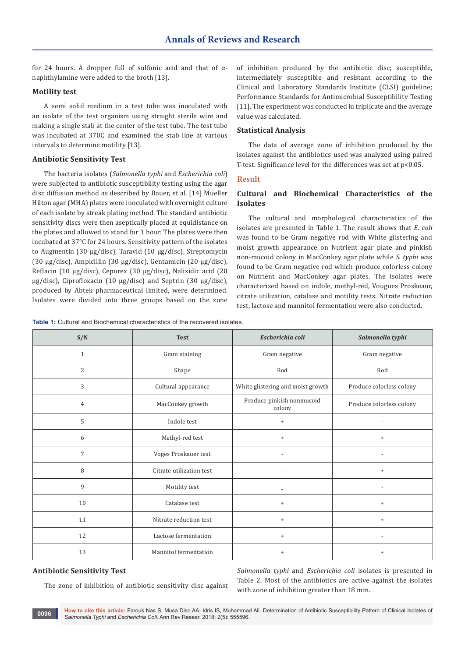for 24 hours. A dropper full of sulfonic acid and that of  $\alpha$ naphthylamine were added to the broth [13].

#### **Motility test**

A semi solid medium in a test tube was inoculated with an isolate of the test organism using straight sterile wire and making a single stab at the center of the test tube. The test tube was incubated at 370C and examined the stab line at various intervals to determine motility [13].

#### **Antibiotic Sensitivity Test**

The bacteria isolates (*Salmonella typhi* and *Escherichia coli*) were subjected to antibiotic susceptibility testing using the agar disc diffusion method as described by Bauer, et al. [14] Mueller Hilton agar (MHA) plates were inoculated with overnight culture of each isolate by streak plating method. The standard antibiotic sensitivity discs were then aseptically placed at equidistance on the plates and allowed to stand for 1 hour. The plates were then incubated at 37°C for 24 hours. Sensitivity pattern of the isolates to Augmentin (30 μg/disc), Taravid (10 μg/disc), Streptomycin (30 μg/disc), Ampicillin (30 μg/disc), Gentamicin (20 μg/disc), Reflacin (10 μg/disc), Ceporex (30 μg/disc), Nalixidic acid (20 μg/disc), Ciprofloxacin (10 μg/disc) and Septrin (30 μg/disc), produced by Abtek pharmaceutical limited, were determined. Isolates were divided into three groups based on the zone of inhibition produced by the antibiotic disc; susceptible, intermediately susceptible and resistant according to the Clinical and Laboratory Standards Institute (CLSI) guideline; Performance Standards for Antimicrobial Susceptibility Testing [11]. The experiment was conducted in triplicate and the average value was calculated.

#### **Statistical Analysis**

The data of average zone of inhibition produced by the isolates against the antibiotics used was analyzed using paired T-test. Significance level for the differences was set at  $p<0.05$ .

#### **Result**

# **Cultural and Biochemical Characteristics of the Isolates**

The cultural and morphological characteristics of the isolates are presented in Table 1. The result shows that *E. coli* was found to be Gram negative rod with White glistering and moist growth appearance on Nutrient agar plate and pinkish non-mucoid colony in MacConkey agar plate while *S. typhi* was found to be Gram negative rod which produce colorless colony on Nutrient and MacConkey agar plates. The isolates were characterized based on indole, methyl-red, Vougues Proskeaur, citrate utilization, catalase and motility tests. Nitrate reduction test, lactose and mannitol fermentation were also conducted.

**Table 1:** Cultural and Biochemical characteristics of the recovered isolates.

| S/N            | <b>Test</b>              | Escherichia coli                    | Salmonella typhi         |
|----------------|--------------------------|-------------------------------------|--------------------------|
| $\mathbf{1}$   | Gram staining            | Gram negative                       | Gram negative            |
| $\overline{2}$ | Shape                    | Rod                                 | Rod                      |
| 3              | Cultural appearance      | White glistering and moist growth   | Produce colorless colony |
| $\overline{4}$ | MacConkey growth         | Produce pinkish nonmucoid<br>colony | Produce colorless colony |
| 5              | Indole test              | $\ddot{}$                           |                          |
| 6              | Methyl-red test          | $\ddot{}$                           | $\ddot{}$                |
| $\overline{7}$ | Voges Proskauer test     |                                     | $\overline{\phantom{a}}$ |
| 8              | Citrate utilization test |                                     | $^{+}$                   |
| 9              | Motility test            | $\overline{\phantom{0}}$            |                          |
| 10             | Catalase test            | $^{+}$                              | $+$                      |
| 11             | Nitrate reduction test   | $\ddot{}$                           | $\ddot{}$                |
| 12             | Lactose fermentation     | $+$                                 |                          |
| 13             | Mannitol fermentation    | $\ddot{}$                           | $\ddot{}$                |

#### **Antibiotic Sensitivity Test**

The zone of inhibition of antibiotic sensitivity disc against

*Salmonella typhi* and *Escherichia coli* isolates is presented in Table 2. Most of the antibiotics are active against the isolates with zone of inhibition greater than 18 mm.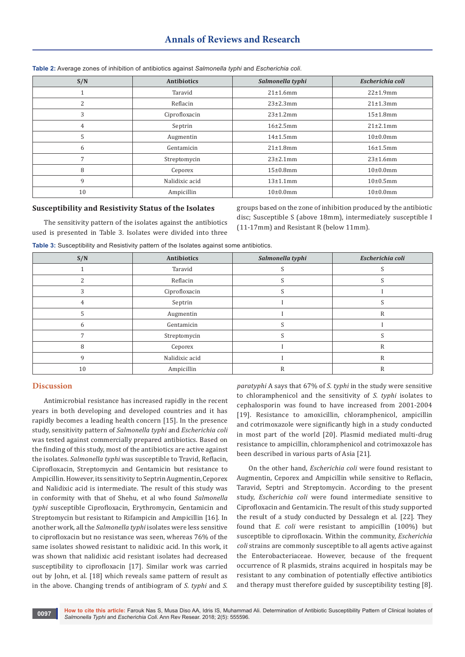# **Annals of Reviews and Research**

| S/N | <b>Antibiotics</b> | Salmonella typhi | Escherichia coli |
|-----|--------------------|------------------|------------------|
|     | Taravid            | 21±1.6mm         | 22±1.9mm         |
| 2   | Reflacin           | $23 \pm 2.3$ mm  | 21±1.3mm         |
| 3   | Ciprofloxacin      | $23 \pm 1.2$ mm  | 15±1.8mm         |
| 4   | Septrin            | 16±2.5mm         | $21\pm2.1$ mm    |
| 5   | Augmentin          | $14\pm1.5$ mm    | $10\pm0.0$ mm    |
| 6   | Gentamicin         | 21±1.8mm         | 16±1.5mm         |
|     | Streptomycin       | $23 \pm 2.1$ mm  | 23±1.6mm         |
| 8   | Ceporex            | $15\pm0.8$ mm    | $10\pm0.0$ mm    |
| 9   | Nalidixic acid     | 13±1.1mm         | 10±0.5mm         |
| 10  | Ampicillin         | $10\pm0.0$ mm    | $10\pm0.0$ mm    |

**Table 2:** Average zones of inhibition of antibiotics against *Salmonella typhi* and *Escherichia coli*.

#### **Susceptibility and Resistivity Status of the Isolates**

The sensitivity pattern of the isolates against the antibiotics used is presented in Table 3. Isolates were divided into three groups based on the zone of inhibition produced by the antibiotic disc; Susceptible S (above 18mm), intermediately susceptible I (11-17mm) and Resistant R (below 11mm).

| Table 3: Susceptibility and Resistivity pattern of the Isolates against some antibiotics. |  |  |  |  |
|-------------------------------------------------------------------------------------------|--|--|--|--|
|-------------------------------------------------------------------------------------------|--|--|--|--|

| S/N          | <b>Antibiotics</b> | Salmonella typhi | Escherichia coli |
|--------------|--------------------|------------------|------------------|
|              | Taravid            |                  |                  |
|              | Reflacin           |                  |                  |
| 3            | Ciprofloxacin      |                  |                  |
| 4            | Septrin            |                  |                  |
|              | Augmentin          |                  | R                |
| <sub>b</sub> | Gentamicin         |                  |                  |
|              | Streptomycin       |                  |                  |
| 8            | Ceporex            |                  | R                |
| 9            | Nalidixic acid     |                  | R                |
| 10           | Ampicillin         | R                | R                |

#### **Discussion**

Antimicrobial resistance has increased rapidly in the recent years in both developing and developed countries and it has rapidly becomes a leading health concern [15]. In the presence study, sensitivity pattern of *Salmonella typhi* and *Escherichia coli* was tested against commercially prepared antibiotics. Based on the finding of this study, most of the antibiotics are active against the isolates. *Salmonella typhi* was susceptible to Travid, Reflacin, Ciprofloxacin, Streptomycin and Gentamicin but resistance to Ampicillin. However, its sensitivity to Septrin Augmentin, Ceporex and Nalidixic acid is intermediate. The result of this study was in conformity with that of Shehu, et al who found *Salmonella typhi* susceptible Ciprofloxacin, Erythromycin, Gentamicin and Streptomycin but resistant to Rifampicin and Ampicillin [16]. In another work, all the *Salmonella typhi* isolates were less sensitive to ciprofloxacin but no resistance was seen, whereas 76% of the same isolates showed resistant to nalidixic acid. In this work, it was shown that nalidixic acid resistant isolates had decreased susceptibility to ciprofloxacin [17]. Similar work was carried out by John, et al. [18] which reveals same pattern of result as in the above. Changing trends of antibiogram of *S. typhi* and *S.* 

*paratyphi* A says that 67% of *S. typhi* in the study were sensitive to chloramphenicol and the sensitivity of *S. typhi* isolates to cephalosporin was found to have increased from 2001-2004 [19]. Resistance to amoxicillin, chloramphenicol, ampicillin and cotrimoxazole were significantly high in a study conducted in most part of the world [20]. Plasmid mediated multi-drug resistance to ampicillin, chloramphenicol and cotrimoxazole has been described in various parts of Asia [21].

On the other hand, *Escherichia coli* were found resistant to Augmentin, Ceporex and Ampicillin while sensitive to Reflacin, Taravid, Septri and Streptomycin. According to the present study, *Escherichia coli* were found intermediate sensitive to Ciprofloxacin and Gentamicin. The result of this study supported the result of a study conducted by Dessalegn et al. [22]. They found that *E. coli* were resistant to ampicillin (100%) but susceptible to ciprofloxacin. Within the community, *Escherichia coli* strains are commonly susceptible to all agents active against the Enterobacteriaceae. However, because of the frequent occurrence of R plasmids, strains acquired in hospitals may be resistant to any combination of potentially effective antibiotics and therapy must therefore guided by susceptibility testing [8].